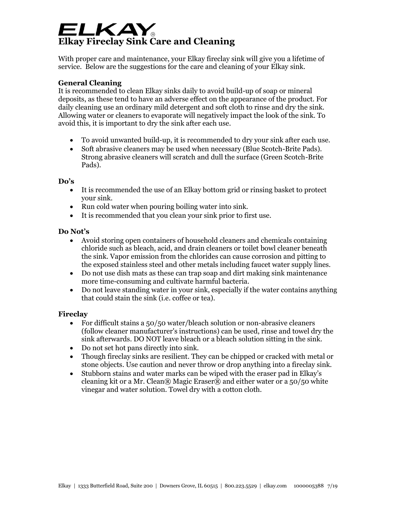# ELKAY **Elkay Fireclay Sink Care and Cleaning**

With proper care and maintenance, your Elkay fireclay sink will give you a lifetime of service. Below are the suggestions for the care and cleaning of your Elkay sink.

## **General Cleaning**

It is recommended to clean Elkay sinks daily to avoid build-up of soap or mineral deposits, as these tend to have an adverse effect on the appearance of the product. For daily cleaning use an ordinary mild detergent and soft cloth to rinse and dry the sink. Allowing water or cleaners to evaporate will negatively impact the look of the sink. To avoid this, it is important to dry the sink after each use.

- To avoid unwanted build-up, it is recommended to dry your sink after each use.
- Soft abrasive cleaners may be used when necessary (Blue Scotch-Brite Pads). Strong abrasive cleaners will scratch and dull the surface (Green Scotch-Brite Pads).

### **Do's**

- It is recommended the use of an Elkay bottom grid or rinsing basket to protect your sink.
- Run cold water when pouring boiling water into sink.
- It is recommended that you clean your sink prior to first use.

## **Do Not's**

- Avoid storing open containers of household cleaners and chemicals containing chloride such as bleach, acid, and drain cleaners or toilet bowl cleaner beneath the sink. Vapor emission from the chlorides can cause corrosion and pitting to the exposed stainless steel and other metals including faucet water supply lines.
- Do not use dish mats as these can trap soap and dirt making sink maintenance more time-consuming and cultivate harmful bacteria.
- Do not leave standing water in your sink, especially if the water contains anything that could stain the sink (i.e. coffee or tea).

## **Fireclay**

- For difficult stains a 50/50 water/bleach solution or non-abrasive cleaners (follow cleaner manufacturer's instructions) can be used, rinse and towel dry the sink afterwards. DO NOT leave bleach or a bleach solution sitting in the sink.
- Do not set hot pans directly into sink.
- Though fireclay sinks are resilient. They can be chipped or cracked with metal or stone objects. Use caution and never throw or drop anything into a fireclay sink.
- Stubborn stains and water marks can be wiped with the eraser pad in Elkay's cleaning kit or a Mr. Clean® Magic Eraser® and either water or a 50/50 white vinegar and water solution. Towel dry with a cotton cloth.